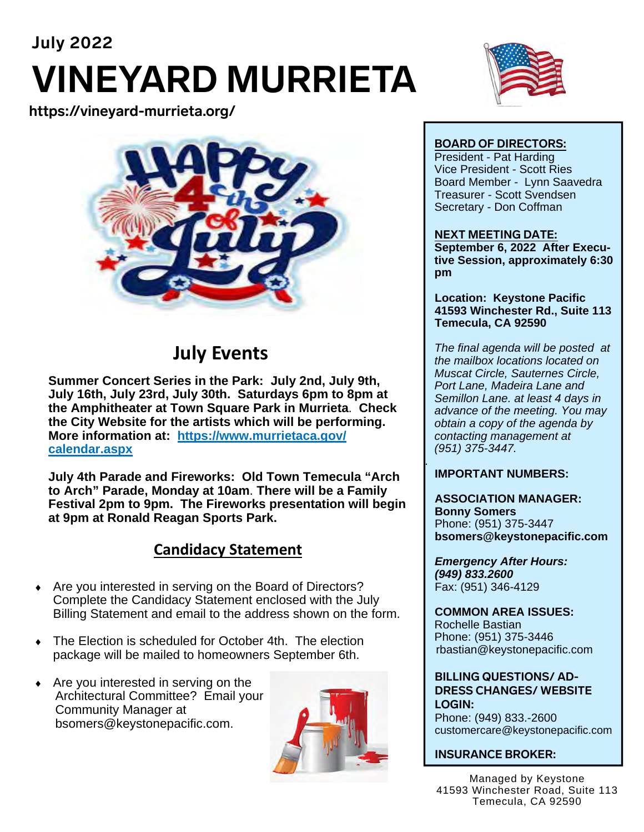# **July 2022 VINEYARD MURRIETA**

**https://vineyard-murrieta.org/** 



### **July Events**

**Summer Concert Series in the Park: July 2nd, July 9th, July 16th, July 23rd, July 30th. Saturdays 6pm to 8pm at the Amphitheater at Town Square Park in Murrieta**. **Check the City Website for the artists which will be performing. More information at: https://www.murrietaca.gov/ calendar.aspx** 

**July 4th Parade and Fireworks: Old Town Temecula "Arch to Arch" Parade, Monday at 10am**. **There will be a Family Festival 2pm to 9pm. The Fireworks presentation will begin at 9pm at Ronald Reagan Sports Park.** 

### **Candidacy Statement**

- Are you interested in serving on the Board of Directors? Complete the Candidacy Statement enclosed with the July Billing Statement and email to the address shown on the form.
- The Election is scheduled for October 4th. The election package will be mailed to homeowners September 6th.
- $\triangleleft$  Are you interested in serving on the Architectural Committee? Email your Community Manager at bsomers@keystonepacific.com.





#### **BOARD OF DIRECTORS:**

President - Pat Harding Vice President - Scott Ries Board Member - Lynn Saavedra Treasurer - Scott Svendsen Secretary - Don Coffman

#### **NEXT MEETING DATE:**

**September 6, 2022 After Executive Session, approximately 6:30 pm** 

**Location: Keystone Pacific 41593 Winchester Rd., Suite 113 Temecula, CA 92590** 

*The final agenda will be posted at the mailbox locations located on Muscat Circle, Sauternes Circle, Port Lane, Madeira Lane and Semillon Lane. at least 4 days in advance of the meeting. You may obtain a copy of the agenda by contacting management at (951) 375-3447.* 

#### **IMPORTANT NUMBERS:**

*.* 

**ASSOCIATION MANAGER: Bonny Somers**  Phone: (951) 375-3447 **bsomers@keystonepacific.com** 

*Emergency After Hours: (949) 833.2600* Fax: (951) 346-4129

**COMMON AREA ISSUES:**  Rochelle Bastian Phone: (951) 375-3446 rbastian@keystonepacific.com

**BILLING QUESTIONS/ AD-DRESS CHANGES/ WEBSITE LOGIN:**  Phone: (949) 833.-2600 customercare@keystonepacific.com

#### **INSURANCE BROKER:**

Managed by Keystone 41593 Winchester Road, Suite 113 Temecula, CA 92590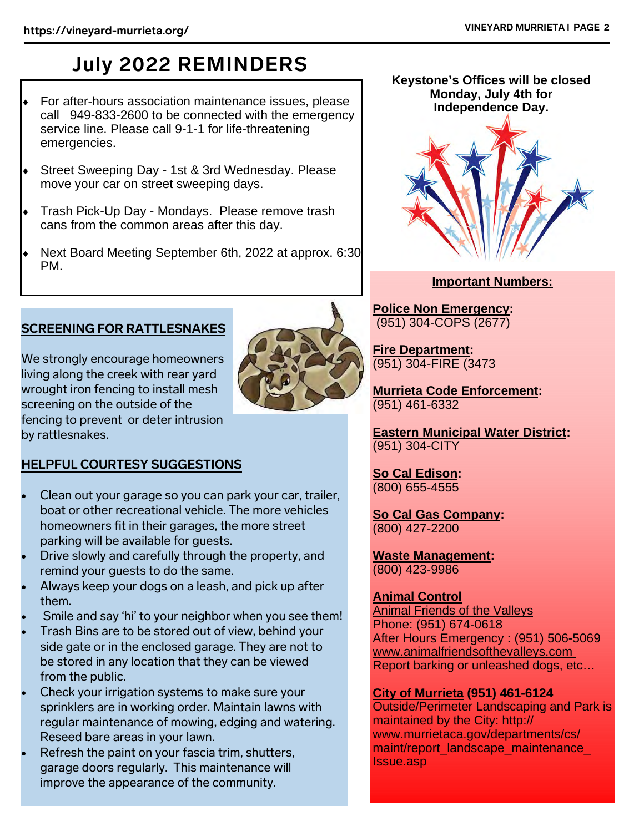## **July 2022 REMINDERS**

- For after-hours association maintenance issues, please call 949-833-2600 to be connected with the emergency service line. Please call 9-1-1 for life-threatening emergencies.
- Street Sweeping Day 1st & 3rd Wednesday. Please move your car on street sweeping days.
- Trash Pick-Up Day Mondays. Please remove trash cans from the common areas after this day.
- Next Board Meeting September 6th, 2022 at approx. 6:30 PM.

#### **SCREENING FOR RATTLESNAKES**

We strongly encourage homeowners living along the creek with rear yard wrought iron fencing to install mesh screening on the outside of the fencing to prevent or deter intrusion by rattlesnakes.



#### **HELPFUL COURTESY SUGGESTIONS**

- Clean out your garage so you can park your car, trailer, boat or other recreational vehicle. The more vehicles homeowners fit in their garages, the more street parking will be available for guests.
- Drive slowly and carefully through the property, and remind your guests to do the same.
- Always keep your dogs on a leash, and pick up after them.
- Smile and say 'hi' to your neighbor when you see them!
- Trash Bins are to be stored out of view, behind your side gate or in the enclosed garage. They are not to be stored in any location that they can be viewed from the public.
- Check your irrigation systems to make sure your sprinklers are in working order. Maintain lawns with regular maintenance of mowing, edging and watering. Reseed bare areas in your lawn.
- Refresh the paint on your fascia trim, shutters, garage doors regularly. This maintenance will improve the appearance of the community.

#### **Keystone's Offices will be closed Monday, July 4th for Independence Day.**



#### **Important Numbers:**

**Police Non Emergency:**  (951) 304-COPS (2677)

**Fire Department:** (951) 304-FIRE (3473

**Murrieta Code Enforcement:**  (951) 461-6332

**Eastern Municipal Water District:**  (951) 304-CITY

**So Cal Edison:**  (800) 655-4555

**So Cal Gas Company:**  (800) 427-2200

**Waste Management:**  (800) 423-9986

#### **Animal Control**

Animal Friends of the Valleys Phone: (951) 674-0618 After Hours Emergency : (951) 506-5069 www.animalfriendsofthevalleys.com Report barking or unleashed dogs, etc…

#### **City of Murrieta (951) 461-6124**

Outside/Perimeter Landscaping and Park is maintained by the City: http:// www.murrietaca.gov/departments/cs/ maint/report\_landscape\_maintenance\_ Issue.asp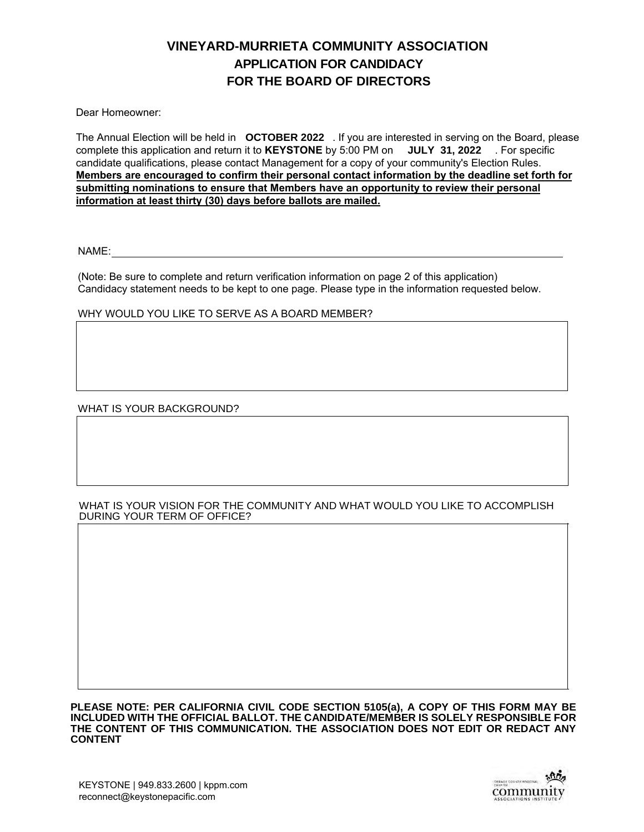#### **APPLICATION FOR CANDIDACY FOR THE BOARD OF DIRECTORS VINEYARD-MURRIETA COMMUNITY ASSOCIATION**

Dear Homeowner:

The Annual Election will be held in  $\,$  OCTOBER 2022  $\,$  . If you are interested in serving on the Board, please complete this application and return it to **KEYSTONE** by 5:00 PM on **JULY 31, 2022** For specific candidate qualifications, please contact Management for a copy of your community's Election Rules. **Members are encouraged to confirm their personal contact information by the deadline set forth for submitting nominations to ensure that Members have an opportunity to review their personal information at least thirty (30) days before ballots are mailed.**

NAME:

(Note: Be sure to complete and return verification information on page 2 of this application) Candidacy statement needs to be kept to one page. Please type in the information requested below.

WHY WOULD YOU LIKE TO SERVE AS A BOARD MEMBER?

WHAT IS YOUR BACKGROUND?

#### WHAT IS YOUR VISION FOR THE COMMUNITY AND WHAT WOULD YOU LIKE TO ACCOMPLISH DURING YOUR TERM OF OFFICE?

**PLEASE NOTE: PER CALIFORNIA CIVIL CODE SECTION 5105(a), A COPY OF THIS FORM MAY BE INCLUDED WITH THE OFFICIAL BALLOT. THE CANDIDATE/MEMBER IS SOLELY RESPONSIBLE FOR THE CONTENT OF THIS COMMUNICATION. THE ASSOCIATION DOES NOT EDIT OR REDACT ANY CONTENT**